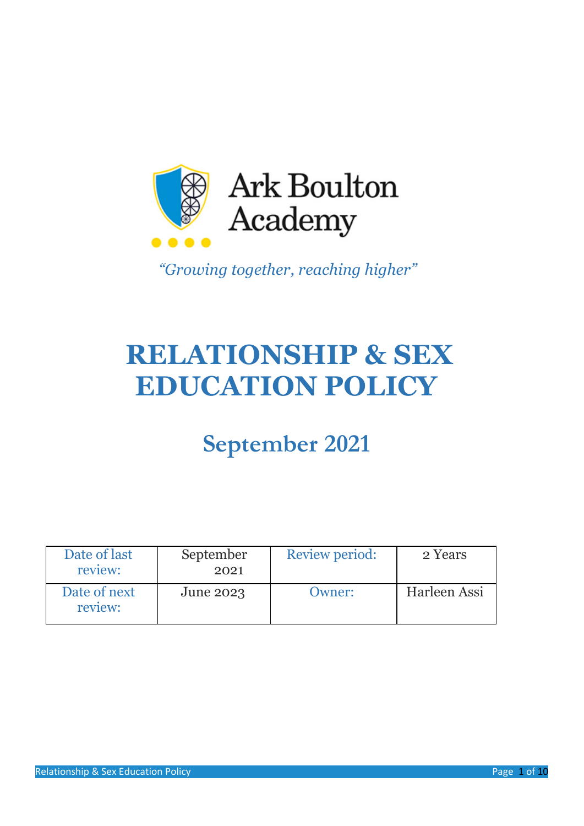

*"Growing together, reaching higher"*

# **RELATIONSHIP & SEX EDUCATION POLICY**

# **September 2021**

| Date of last<br>review: | September<br>2021 | Review period: | 2 Years      |
|-------------------------|-------------------|----------------|--------------|
| Date of next<br>review: | June 2023         | Owner:         | Harleen Assi |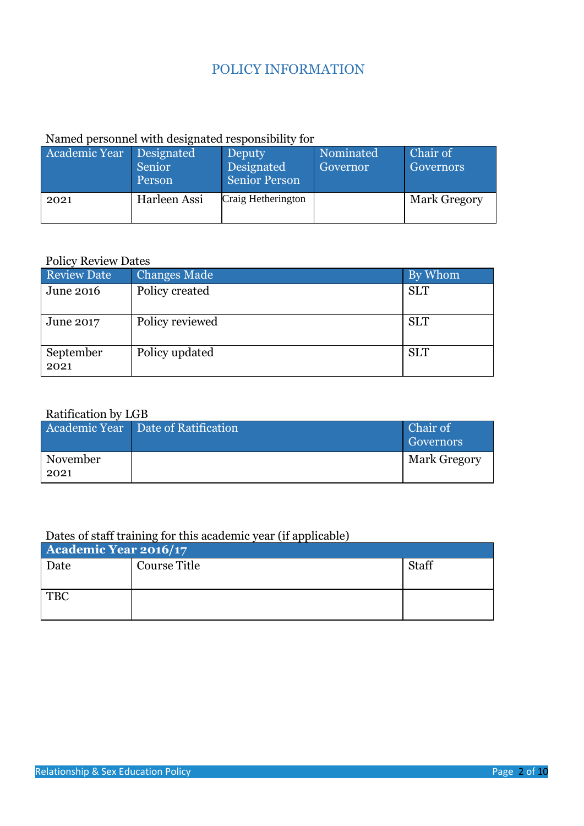# POLICY INFORMATION

# Named personnel with designated responsibility for

| Academic Year Designated | Senior<br>Person | Deputy<br>Designated<br><b>Senior Person</b> | Nominated<br><b>Governor</b> | Chair of<br>Governors |
|--------------------------|------------------|----------------------------------------------|------------------------------|-----------------------|
| 2021                     | Harleen Assi     | Craig Hetherington                           |                              | <b>Mark Gregory</b>   |

#### Policy Review Dates

| Review Date       | <b>Changes Made</b> | By Whom    |
|-------------------|---------------------|------------|
| June 2016         | Policy created      | <b>SLT</b> |
| June 2017         | Policy reviewed     | <b>SLT</b> |
| September<br>2021 | Policy updated      | <b>SLT</b> |

# Ratification by LGB

|                  | Academic Year Date of Ratification | Chair of<br>Governors |
|------------------|------------------------------------|-----------------------|
| November<br>2021 |                                    | <b>Mark Gregory</b>   |

# Dates of staff training for this academic year (if applicable)

| Academic Year 2016/17 |              |       |  |
|-----------------------|--------------|-------|--|
| Date                  | Course Title | Staff |  |
|                       |              |       |  |
| <b>TBC</b>            |              |       |  |
|                       |              |       |  |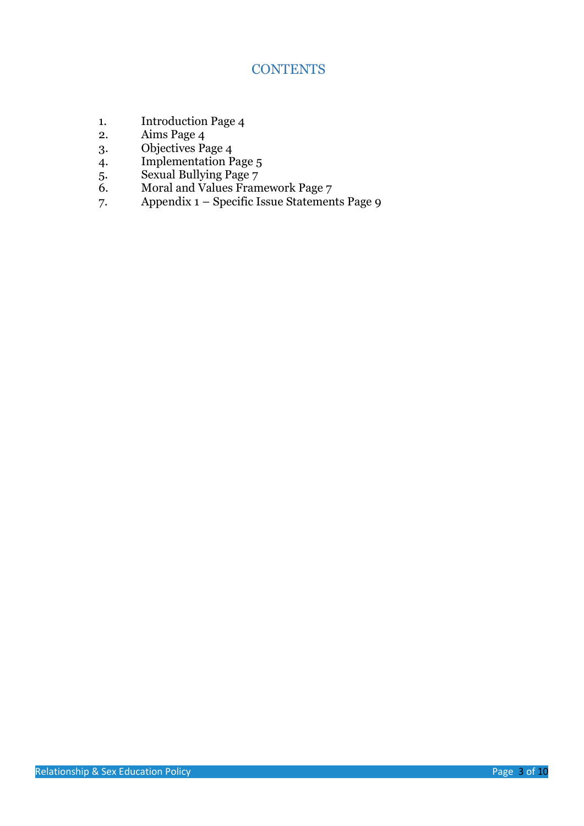# **CONTENTS**

- 1. Introduction Page 4
- 2. Aims Page 4
- 3. Objectives Page 4
- 4. Implementation Page 5
- 5. Sexual Bullying Page 7
- 6. Moral and Values Framework Page 7
- 7. Appendix  $1 -$  Specific Issue Statements Page 9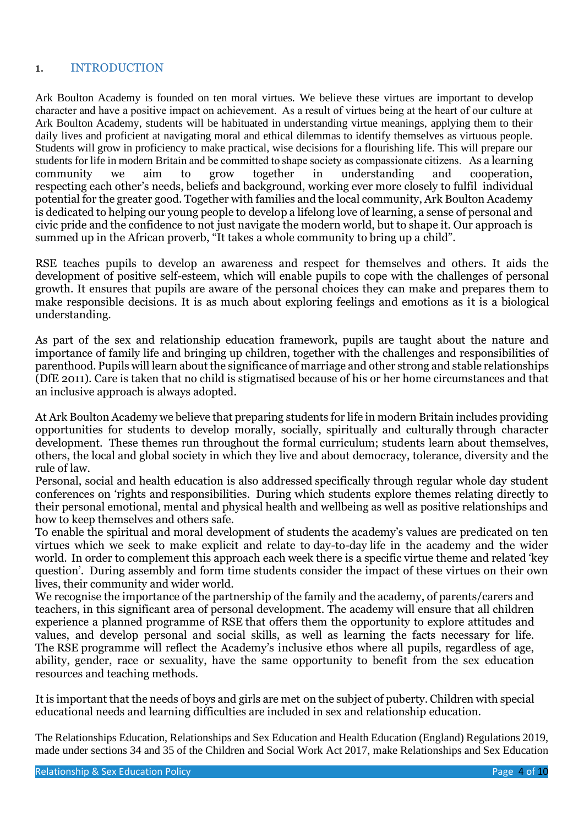#### 1. INTRODUCTION

Ark Boulton Academy is founded on ten moral virtues. We believe these virtues are important to develop character and have a positive impact on achievement.  As a result of virtues being at the heart of our culture at Ark Boulton Academy, students will be habituated in understanding virtue meanings, applying them to their daily lives and proficient at navigating moral and ethical dilemmas to identify themselves as virtuous people. Students will grow in proficiency to make practical, wise decisions for a flourishing life. This will prepare our students for life in modern Britain and be committed to shape society as compassionate citizens.   As a learning community we aim to grow together in understanding and cooperation, respecting each other's needs, beliefs and background, working ever more closely to fulfil individual potential for the greater good. Together with families and the local community, Ark Boulton Academy is dedicated to helping our young people to develop a lifelong love of learning, a sense of personal and civic pride and the confidence to not just navigate the modern world, but to shape it. Our approach is summed up in the African proverb, "It takes a whole community to bring up a child".

RSE teaches pupils to develop an awareness and respect for themselves and others. It aids the development of positive self-esteem, which will enable pupils to cope with the challenges of personal growth. It ensures that pupils are aware of the personal choices they can make and prepares them to make responsible decisions. It is as much about exploring feelings and emotions as it is a biological understanding.

As part of the sex and relationship education framework, pupils are taught about the nature and importance of family life and bringing up children, together with the challenges and responsibilities of parenthood. Pupils will learn about the significance of marriage and other strong and stable relationships (DfE 2011). Care is taken that no child is stigmatised because of his or her home circumstances and that an inclusive approach is always adopted.

At Ark Boulton Academy we believe that preparing students for life in modern Britain includes providing opportunities for students to develop morally, socially, spiritually and culturally through character development. These themes run throughout the formal curriculum; students learn about themselves, others, the local and global society in which they live and about democracy, tolerance, diversity and the rule of law.     

Personal, social and health education is also addressed specifically through regular whole day student conferences on 'rights and responsibilities. During which students explore themes relating directly to their personal emotional, mental and physical health and wellbeing as well as positive relationships and how to keep themselves and others safe.   

To enable the spiritual and moral development of students the academy's values are predicated on ten virtues which we seek to make explicit and relate to day-to-day life in the academy and the wider world. In order to complement this approach each week there is a specific virtue theme and related 'key question'. During assembly and form time students consider the impact of these virtues on their own lives, their community and wider world.  

We recognise the importance of the partnership of the family and the academy, of parents/carers and teachers, in this significant area of personal development. The academy will ensure that all children experience a planned programme of RSE that offers them the opportunity to explore attitudes and values, and develop personal and social skills, as well as learning the facts necessary for life. The RSE programme will reflect the Academy's inclusive ethos where all pupils, regardless of age, ability, gender, race or sexuality, have the same opportunity to benefit from the sex education resources and teaching methods.

It is important that the needs of boys and girls are met on the subject of puberty. Children with special educational needs and learning difficulties are included in sex and relationship education.

The Relationships Education, Relationships and Sex Education and Health Education (England) Regulations 2019, made under sections 34 and 35 of the Children and Social Work Act 2017, make Relationships and Sex Education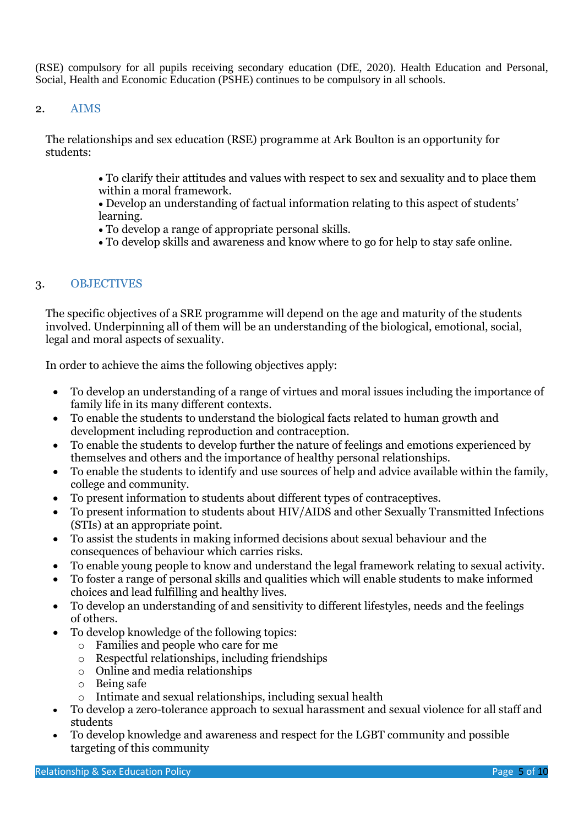(RSE) compulsory for all pupils receiving secondary education (DfE, 2020). Health Education and Personal, Social, Health and Economic Education (PSHE) continues to be compulsory in all schools.

### 2. AIMS

The relationships and sex education (RSE) programme at Ark Boulton is an opportunity for students:

- To clarify their attitudes and values with respect to sex and sexuality and to place them within a moral framework.
- Develop an understanding of factual information relating to this aspect of students' learning.
- To develop a range of appropriate personal skills.
- To develop skills and awareness and know where to go for help to stay safe online.

## 3. OBJECTIVES

The specific objectives of a SRE programme will depend on the age and maturity of the students involved. Underpinning all of them will be an understanding of the biological, emotional, social, legal and moral aspects of sexuality.

In order to achieve the aims the following objectives apply:

- To develop an understanding of a range of virtues and moral issues including the importance of family life in its many different contexts.
- To enable the students to understand the biological facts related to human growth and development including reproduction and contraception.
- To enable the students to develop further the nature of feelings and emotions experienced by themselves and others and the importance of healthy personal relationships.
- To enable the students to identify and use sources of help and advice available within the family, college and community.
- To present information to students about different types of contraceptives.
- To present information to students about HIV/AIDS and other Sexually Transmitted Infections (STIs) at an appropriate point.
- To assist the students in making informed decisions about sexual behaviour and the consequences of behaviour which carries risks.
- To enable young people to know and understand the legal framework relating to sexual activity.
- To foster a range of personal skills and qualities which will enable students to make informed choices and lead fulfilling and healthy lives.
- To develop an understanding of and sensitivity to different lifestyles, needs and the feelings of others.
- To develop knowledge of the following topics:
	- o Families and people who care for me
	- o Respectful relationships, including friendships
	- o Online and media relationships
	- o Being safe
	- o Intimate and sexual relationships, including sexual health
- To develop a zero-tolerance approach to sexual harassment and sexual violence for all staff and students
- To develop knowledge and awareness and respect for the LGBT community and possible targeting of this community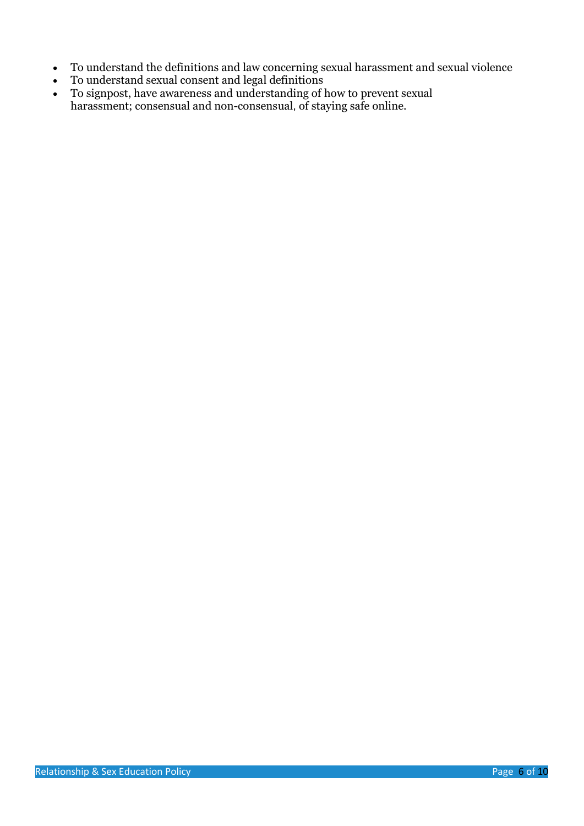- To understand the definitions and law concerning sexual harassment and sexual violence
- To understand sexual consent and legal definitions
- To signpost, have awareness and understanding of how to prevent sexual harassment; consensual and non-consensual, of staying safe online.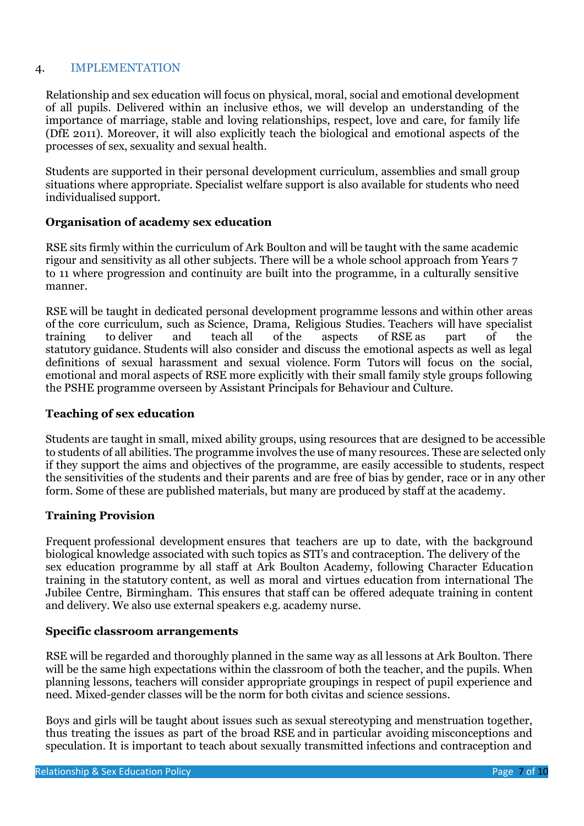#### 4. IMPLEMENTATION

Relationship and sex education will focus on physical, moral, social and emotional development of all pupils. Delivered within an inclusive ethos, we will develop an understanding of the importance of marriage, stable and loving relationships, respect, love and care, for family life (DfE 2011). Moreover, it will also explicitly teach the biological and emotional aspects of the processes of sex, sexuality and sexual health.

Students are supported in their personal development curriculum, assemblies and small group situations where appropriate. Specialist welfare support is also available for students who need individualised support.

#### **Organisation of academy sex education**

RSE sits firmly within the curriculum of Ark Boulton and will be taught with the same academic rigour and sensitivity as all other subjects. There will be a whole school approach from Years 7 to 11 where progression and continuity are built into the programme, in a culturally sensitive manner.

RSE will be taught in dedicated personal development programme lessons and within other areas of the core curriculum, such as Science, Drama, Religious Studies. Teachers will have specialist training to deliver and teach all of the aspects of RSE as part of the statutory guidance. Students will also consider and discuss the emotional aspects as well as legal definitions of sexual harassment and sexual violence. Form Tutors will focus on the social, emotional and moral aspects of RSE more explicitly with their small family style groups following the PSHE programme overseen by Assistant Principals for Behaviour and Culture.

#### **Teaching of sex education**

Students are taught in small, mixed ability groups, using resources that are designed to be accessible to students of all abilities. The programme involves the use of many resources. These are selected only if they support the aims and objectives of the programme, are easily accessible to students, respect the sensitivities of the students and their parents and are free of bias by gender, race or in any other form. Some of these are published materials, but many are produced by staff at the academy*.*

## **Training Provision**

Frequent professional development ensures that teachers are up to date, with the background biological knowledge associated with such topics as STI's and contraception. The delivery of the sex education programme by all staff at Ark Boulton Academy, following Character Education training in the statutory content, as well as moral and virtues education from international The Jubilee Centre, Birmingham. This ensures that staff can be offered adequate training in content and delivery. We also use external speakers e.g. academy nurse.

#### **Specific classroom arrangements**

RSE will be regarded and thoroughly planned in the same way as all lessons at Ark Boulton. There will be the same high expectations within the classroom of both the teacher, and the pupils. When planning lessons, teachers will consider appropriate groupings in respect of pupil experience and need. Mixed-gender classes will be the norm for both civitas and science sessions.

Boys and girls will be taught about issues such as sexual stereotyping and menstruation together, thus treating the issues as part of the broad RSE and in particular avoiding misconceptions and speculation. It is important to teach about sexually transmitted infections and contraception and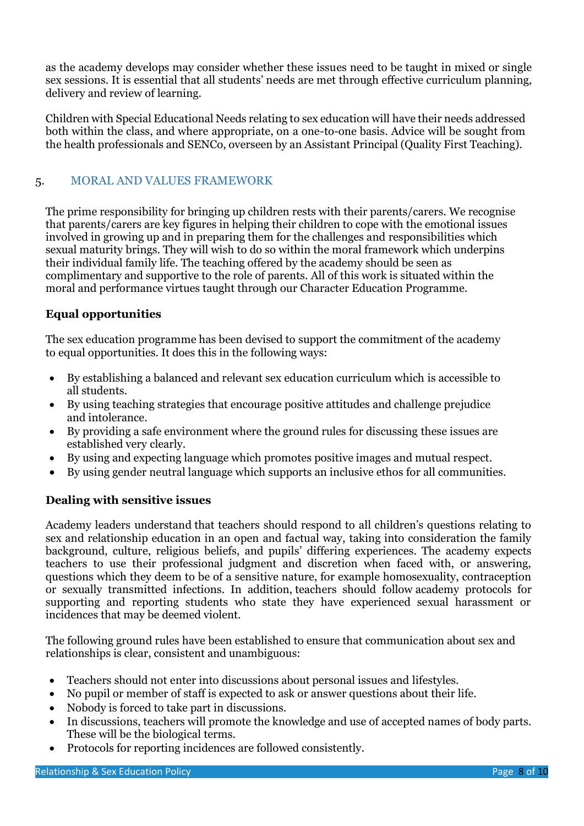as the academy develops may consider whether these issues need to be taught in mixed or single sex sessions. It is essential that all students' needs are met through effective curriculum planning, delivery and review of learning.

Children with Special Educational Needs relating to sex education will have their needs addressed both within the class, and where appropriate, on a one-to-one basis. Advice will be sought from the health professionals and SENCo, overseen by an Assistant Principal (Quality First Teaching).

# 5. MORAL AND VALUES FRAMEWORK

The prime responsibility for bringing up children rests with their parents/carers. We recognise that parents/carers are key figures in helping their children to cope with the emotional issues involved in growing up and in preparing them for the challenges and responsibilities which sexual maturity brings. They will wish to do so within the moral framework which underpins their individual family life. The teaching offered by the academy should be seen as complimentary and supportive to the role of parents. All of this work is situated within the moral and performance virtues taught through our Character Education Programme.

# **Equal opportunities**

The sex education programme has been devised to support the commitment of the academy to equal opportunities. It does this in the following ways:

- By establishing a balanced and relevant sex education curriculum which is accessible to all students.
- By using teaching strategies that encourage positive attitudes and challenge prejudice and intolerance.
- By providing a safe environment where the ground rules for discussing these issues are established very clearly.
- By using and expecting language which promotes positive images and mutual respect.
- By using gender neutral language which supports an inclusive ethos for all communities.

# **Dealing with sensitive issues**

Academy leaders understand that teachers should respond to all children's questions relating to sex and relationship education in an open and factual way, taking into consideration the family background, culture, religious beliefs, and pupils' differing experiences. The academy expects teachers to use their professional judgment and discretion when faced with, or answering, questions which they deem to be of a sensitive nature, for example homosexuality, contraception or sexually transmitted infections. In addition, teachers should follow academy protocols for supporting and reporting students who state they have experienced sexual harassment or incidences that may be deemed violent.

The following ground rules have been established to ensure that communication about sex and relationships is clear, consistent and unambiguous:

- Teachers should not enter into discussions about personal issues and lifestyles.
- No pupil or member of staff is expected to ask or answer questions about their life.
- Nobody is forced to take part in discussions.
- In discussions, teachers will promote the knowledge and use of accepted names of body parts. These will be the biological terms.
- Protocols for reporting incidences are followed consistently.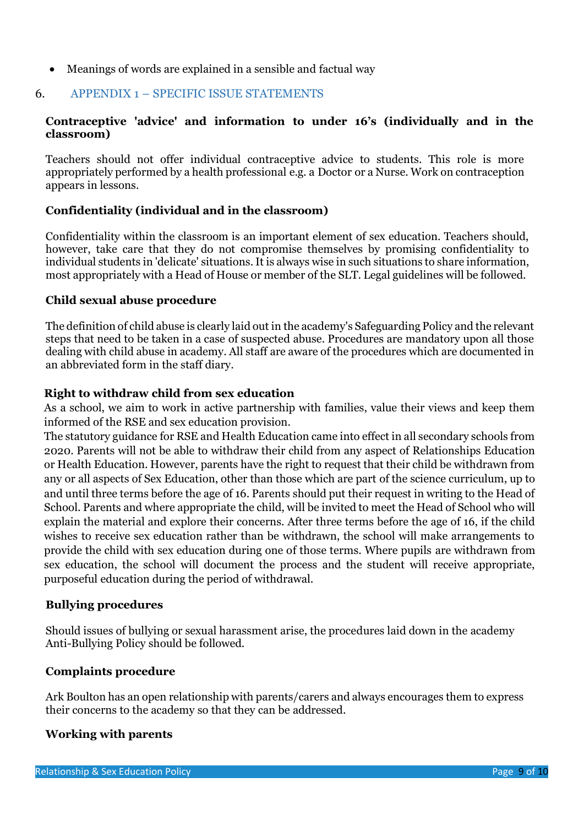• Meanings of words are explained in a sensible and factual way

# 6. APPENDIX 1 – SPECIFIC ISSUE STATEMENTS

# **Contraceptive 'advice' and information to under 16's (individually and in the classroom)**

Teachers should not offer individual contraceptive advice to students. This role is more appropriately performed by a health professional e.g. a Doctor or a Nurse. Work on contraception appears in lessons.

# **Confidentiality (individual and in the classroom)**

Confidentiality within the classroom is an important element of sex education. Teachers should, however, take care that they do not compromise themselves by promising confidentiality to individual students in 'delicate' situations. It is always wise in such situations to share information, most appropriately with a Head of House or member of the SLT. Legal guidelines will be followed.

#### **Child sexual abuse procedure**

The definition of child abuse is clearly laid out in the academy's Safeguarding Policy and the relevant steps that need to be taken in a case of suspected abuse. Procedures are mandatory upon all those dealing with child abuse in academy. All staff are aware of the procedures which are documented in an abbreviated form in the staff diary.

#### **Right to withdraw child from sex education**

As a school, we aim to work in active partnership with families, value their views and keep them informed of the RSE and sex education provision.

The statutory guidance for RSE and Health Education came into effect in all secondary schools from 2020. Parents will not be able to withdraw their child from any aspect of Relationships Education or Health Education. However, parents have the right to request that their child be withdrawn from any or all aspects of Sex Education, other than those which are part of the science curriculum, up to and until three terms before the age of 16. Parents should put their request in writing to the Head of School. Parents and where appropriate the child, will be invited to meet the Head of School who will explain the material and explore their concerns. After three terms before the age of 16, if the child wishes to receive sex education rather than be withdrawn, the school will make arrangements to provide the child with sex education during one of those terms. Where pupils are withdrawn from sex education, the school will document the process and the student will receive appropriate, purposeful education during the period of withdrawal.

#### **Bullying procedures**

Should issues of bullying or sexual harassment arise, the procedures laid down in the academy Anti-Bullying Policy should be followed.

## **Complaints procedure**

Ark Boulton has an open relationship with parents/carers and always encourages them to express their concerns to the academy so that they can be addressed.

## **Working with parents**